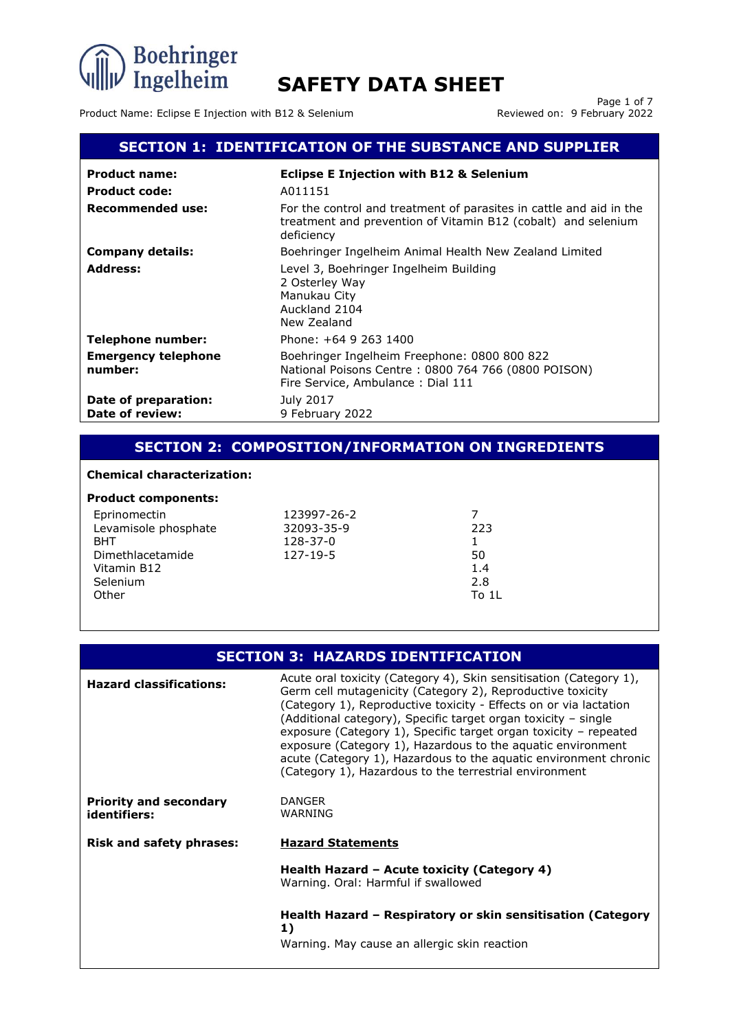

Product Name: Eclipse E Injection with B12 & Selenium

Page 1 of 7<br>Reviewed on: 9 February 2022

### **SECTION 1: IDENTIFICATION OF THE SUBSTANCE AND SUPPLIER**

| <b>Product name:</b>                    | <b>Eclipse E Injection with B12 &amp; Selenium</b>                                                                                                 |
|-----------------------------------------|----------------------------------------------------------------------------------------------------------------------------------------------------|
| <b>Product code:</b>                    | A011151                                                                                                                                            |
| Recommended use:                        | For the control and treatment of parasites in cattle and aid in the<br>treatment and prevention of Vitamin B12 (cobalt) and selenium<br>deficiency |
| <b>Company details:</b>                 | Boehringer Ingelheim Animal Health New Zealand Limited                                                                                             |
| <b>Address:</b>                         | Level 3, Boehringer Ingelheim Building<br>2 Osterley Way<br>Manukau City<br>Auckland 2104<br>New Zealand                                           |
| <b>Telephone number:</b>                | Phone: +64 9 263 1400                                                                                                                              |
| <b>Emergency telephone</b><br>number:   | Boehringer Ingelheim Freephone: 0800 800 822<br>National Poisons Centre: 0800 764 766 (0800 POISON)<br>Fire Service, Ambulance: Dial 111           |
| Date of preparation:<br>Date of review: | July 2017<br>9 February 2022                                                                                                                       |

### **SECTION 2: COMPOSITION/INFORMATION ON INGREDIENTS**

### **Chemical characterization:**

### **Product components:**

| Eprinomectin         | 123997-26-2 |       |
|----------------------|-------------|-------|
| Levamisole phosphate | 32093-35-9  | 223   |
| <b>BHT</b>           | 128-37-0    |       |
| Dimethlacetamide     | 127-19-5    | 50    |
| Vitamin B12          |             | 1.4   |
| Selenium             |             | 2.8   |
| Other                |             | To 11 |
|                      |             |       |

### **SECTION 3: HAZARDS IDENTIFICATION**

| <b>Hazard classifications:</b>                | Acute oral toxicity (Category 4), Skin sensitisation (Category 1),<br>Germ cell mutagenicity (Category 2), Reproductive toxicity<br>(Category 1), Reproductive toxicity - Effects on or via lactation<br>(Additional category), Specific target organ toxicity - single<br>exposure (Category 1), Specific target organ toxicity – repeated<br>exposure (Category 1), Hazardous to the aquatic environment<br>acute (Category 1), Hazardous to the aquatic environment chronic<br>(Category 1), Hazardous to the terrestrial environment |
|-----------------------------------------------|------------------------------------------------------------------------------------------------------------------------------------------------------------------------------------------------------------------------------------------------------------------------------------------------------------------------------------------------------------------------------------------------------------------------------------------------------------------------------------------------------------------------------------------|
| <b>Priority and secondary</b><br>identifiers: | <b>DANGER</b><br>WARNING                                                                                                                                                                                                                                                                                                                                                                                                                                                                                                                 |
| <b>Risk and safety phrases:</b>               | <b>Hazard Statements</b>                                                                                                                                                                                                                                                                                                                                                                                                                                                                                                                 |
|                                               | Health Hazard - Acute toxicity (Category 4)<br>Warning. Oral: Harmful if swallowed                                                                                                                                                                                                                                                                                                                                                                                                                                                       |
|                                               | Health Hazard – Respiratory or skin sensitisation (Category<br>1)                                                                                                                                                                                                                                                                                                                                                                                                                                                                        |
|                                               | Warning. May cause an allergic skin reaction                                                                                                                                                                                                                                                                                                                                                                                                                                                                                             |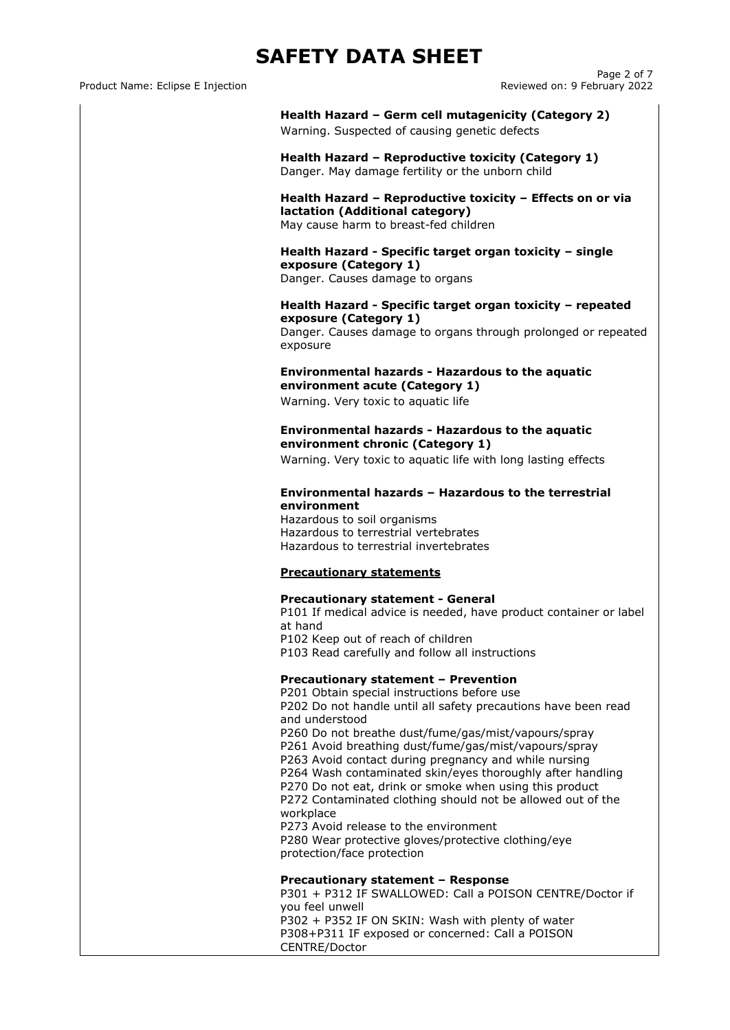Product Name: Eclipse E Injection

Page 2 of 7<br>Reviewed on: 9 February 2022

|                                   | Health Hazard - Germ cell mutagenicity (Category 2)<br>Warning. Suspected of causing genetic defects                                                                                                                                                                                                                                                           |
|-----------------------------------|----------------------------------------------------------------------------------------------------------------------------------------------------------------------------------------------------------------------------------------------------------------------------------------------------------------------------------------------------------------|
|                                   | Health Hazard - Reproductive toxicity (Category 1)<br>Danger. May damage fertility or the unborn child                                                                                                                                                                                                                                                         |
|                                   | Health Hazard - Reproductive toxicity - Effects on or via<br>lactation (Additional category)<br>May cause harm to breast-fed children                                                                                                                                                                                                                          |
| exposure (Category 1)             | Health Hazard - Specific target organ toxicity - single<br>Danger. Causes damage to organs                                                                                                                                                                                                                                                                     |
| exposure (Category 1)<br>exposure | Health Hazard - Specific target organ toxicity - repeated<br>Danger. Causes damage to organs through prolonged or repeated                                                                                                                                                                                                                                     |
|                                   | <b>Environmental hazards - Hazardous to the aquatic</b><br>environment acute (Category 1)<br>Warning. Very toxic to aquatic life                                                                                                                                                                                                                               |
|                                   | <b>Environmental hazards - Hazardous to the aquatic</b>                                                                                                                                                                                                                                                                                                        |
|                                   | environment chronic (Category 1)<br>Warning. Very toxic to aquatic life with long lasting effects                                                                                                                                                                                                                                                              |
| <b>Precautionary statements</b>   | Hazardous to terrestrial vertebrates<br>Hazardous to terrestrial invertebrates                                                                                                                                                                                                                                                                                 |
| at hand                           | <b>Precautionary statement - General</b><br>P101 If medical advice is needed, have product container or label<br>P102 Keep out of reach of children<br>P103 Read carefully and follow all instructions                                                                                                                                                         |
| and understood                    | Precautionary statement - Prevention<br>P201 Obtain special instructions before use<br>P202 Do not handle until all safety precautions have been read                                                                                                                                                                                                          |
| workplace                         | P260 Do not breathe dust/fume/gas/mist/vapours/spray<br>P261 Avoid breathing dust/fume/gas/mist/vapours/spray<br>P263 Avoid contact during pregnancy and while nursing<br>P264 Wash contaminated skin/eyes thoroughly after handling<br>P270 Do not eat, drink or smoke when using this product<br>P272 Contaminated clothing should not be allowed out of the |
| protection/face protection        | P273 Avoid release to the environment<br>P280 Wear protective gloves/protective clothing/eye                                                                                                                                                                                                                                                                   |
| you feel unwell                   | Precautionary statement - Response<br>P301 + P312 IF SWALLOWED: Call a POISON CENTRE/Doctor if                                                                                                                                                                                                                                                                 |
|                                   | P302 + P352 IF ON SKIN: Wash with plenty of water<br>P308+P311 IF exposed or concerned: Call a POISON                                                                                                                                                                                                                                                          |

CENTRE/Doctor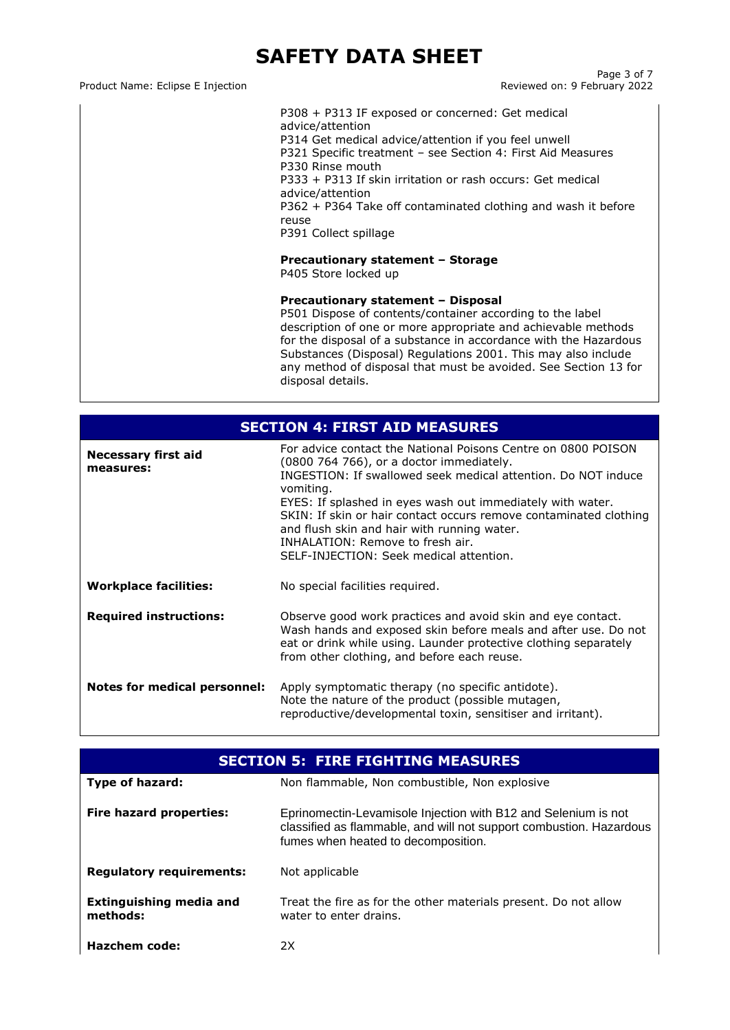Product Name: Eclipse E Injection

Page 3 of 7<br>Reviewed on: 9 February 2022

P308 + P313 IF exposed or concerned: Get medical advice/attention P314 Get medical advice/attention if you feel unwell P321 Specific treatment – see Section 4: First Aid Measures P330 Rinse mouth P333 + P313 If skin irritation or rash occurs: Get medical advice/attention P362 + P364 Take off contaminated clothing and wash it before reuse P391 Collect spillage

### **Precautionary statement – Storage**

P405 Store locked up

### **Precautionary statement – Disposal**

P501 Dispose of contents/container according to the label description of one or more appropriate and achievable methods for the disposal of a substance in accordance with the Hazardous Substances (Disposal) Regulations 2001. This may also include any method of disposal that must be avoided. See Section 13 for disposal details.

|                                         | <b>SECTION 4: FIRST AID MEASURES</b>                                                                                                                                                                                                                                                                                                                                                                                                                     |  |
|-----------------------------------------|----------------------------------------------------------------------------------------------------------------------------------------------------------------------------------------------------------------------------------------------------------------------------------------------------------------------------------------------------------------------------------------------------------------------------------------------------------|--|
| <b>Necessary first aid</b><br>measures: | For advice contact the National Poisons Centre on 0800 POISON<br>(0800 764 766), or a doctor immediately.<br>INGESTION: If swallowed seek medical attention. Do NOT induce<br>vomiting.<br>EYES: If splashed in eyes wash out immediately with water.<br>SKIN: If skin or hair contact occurs remove contaminated clothing<br>and flush skin and hair with running water.<br>INHALATION: Remove to fresh air.<br>SELF-INJECTION: Seek medical attention. |  |
| <b>Workplace facilities:</b>            | No special facilities required.                                                                                                                                                                                                                                                                                                                                                                                                                          |  |
| <b>Required instructions:</b>           | Observe good work practices and avoid skin and eye contact.<br>Wash hands and exposed skin before meals and after use. Do not<br>eat or drink while using. Launder protective clothing separately<br>from other clothing, and before each reuse.                                                                                                                                                                                                         |  |
| Notes for medical personnel:            | Apply symptomatic therapy (no specific antidote).<br>Note the nature of the product (possible mutagen,<br>reproductive/developmental toxin, sensitiser and irritant).                                                                                                                                                                                                                                                                                    |  |

| <b>SECTION 5: FIRE FIGHTING MEASURES</b> |                                                                                                                                                                              |
|------------------------------------------|------------------------------------------------------------------------------------------------------------------------------------------------------------------------------|
| Type of hazard:                          | Non flammable, Non combustible, Non explosive                                                                                                                                |
| Fire hazard properties:                  | Eprinomectin-Levamisole Injection with B12 and Selenium is not<br>classified as flammable, and will not support combustion. Hazardous<br>fumes when heated to decomposition. |
| <b>Regulatory requirements:</b>          | Not applicable                                                                                                                                                               |
| Extinguishing media and<br>methods:      | Treat the fire as for the other materials present. Do not allow<br>water to enter drains.                                                                                    |
| Hazchem code:                            | 2X                                                                                                                                                                           |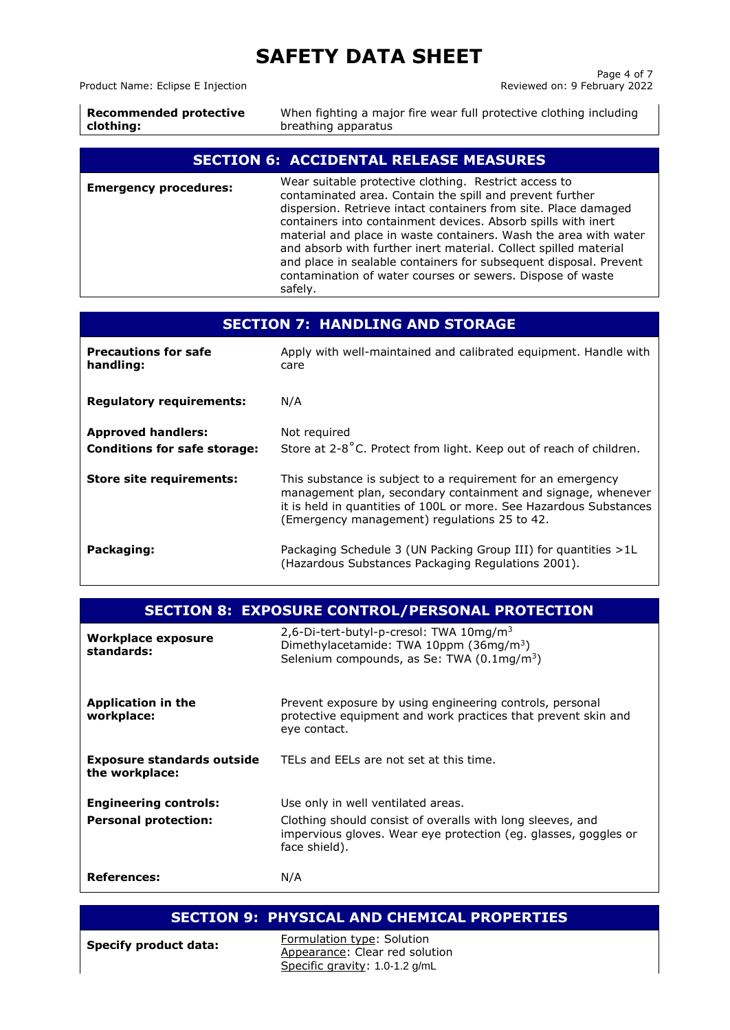Product Name: Eclipse E Injection

Page 4 of 7<br>Reviewed on: 9 February 2022

| <b>Recommended protective</b> | When fighting a major fire wear full protective clothing including |
|-------------------------------|--------------------------------------------------------------------|
| clothing:                     | breathing apparatus                                                |
|                               |                                                                    |

### **SECTION 6: ACCIDENTAL RELEASE MEASURES**

| <b>Emergency procedures:</b> | Wear suitable protective clothing. Restrict access to<br>contaminated area. Contain the spill and prevent further<br>dispersion. Retrieve intact containers from site. Place damaged<br>containers into containment devices. Absorb spills with inert<br>material and place in waste containers. Wash the area with water<br>and absorb with further inert material. Collect spilled material<br>and place in sealable containers for subsequent disposal. Prevent<br>contamination of water courses or sewers. Dispose of waste<br>safely. |
|------------------------------|---------------------------------------------------------------------------------------------------------------------------------------------------------------------------------------------------------------------------------------------------------------------------------------------------------------------------------------------------------------------------------------------------------------------------------------------------------------------------------------------------------------------------------------------|
|------------------------------|---------------------------------------------------------------------------------------------------------------------------------------------------------------------------------------------------------------------------------------------------------------------------------------------------------------------------------------------------------------------------------------------------------------------------------------------------------------------------------------------------------------------------------------------|

| <b>SECTION 7: HANDLING AND STORAGE</b>                           |                                                                                                                                                                                                                                                   |
|------------------------------------------------------------------|---------------------------------------------------------------------------------------------------------------------------------------------------------------------------------------------------------------------------------------------------|
| <b>Precautions for safe</b><br>handling:                         | Apply with well-maintained and calibrated equipment. Handle with<br>care                                                                                                                                                                          |
| <b>Regulatory requirements:</b>                                  | N/A                                                                                                                                                                                                                                               |
| <b>Approved handlers:</b><br><b>Conditions for safe storage:</b> | Not required<br>Store at 2-8°C. Protect from light. Keep out of reach of children.                                                                                                                                                                |
| <b>Store site requirements:</b>                                  | This substance is subject to a requirement for an emergency<br>management plan, secondary containment and signage, whenever<br>it is held in quantities of 100L or more. See Hazardous Substances<br>(Emergency management) regulations 25 to 42. |
| Packaging:                                                       | Packaging Schedule 3 (UN Packing Group III) for quantities >1L<br>(Hazardous Substances Packaging Regulations 2001).                                                                                                                              |

| <b>SECTION 8: EXPOSURE CONTROL/PERSONAL PROTECTION</b>      |                                                                                                                                                                                      |
|-------------------------------------------------------------|--------------------------------------------------------------------------------------------------------------------------------------------------------------------------------------|
| Workplace exposure<br>standards:                            | 2,6-Di-tert-butyl-p-cresol: TWA $10$ mg/m <sup>3</sup><br>Dimethylacetamide: TWA 10ppm (36mg/m <sup>3</sup> )<br>Selenium compounds, as Se: TWA (0.1mg/m <sup>3</sup> )              |
| <b>Application in the</b><br>workplace:                     | Prevent exposure by using engineering controls, personal<br>protective equipment and work practices that prevent skin and<br>eye contact.                                            |
| <b>Exposure standards outside</b><br>the workplace:         | TELs and EELs are not set at this time.                                                                                                                                              |
| <b>Engineering controls:</b><br><b>Personal protection:</b> | Use only in well ventilated areas.<br>Clothing should consist of overalls with long sleeves, and<br>impervious gloves. Wear eye protection (eg. glasses, goggles or<br>face shield). |
| References:                                                 | N/A                                                                                                                                                                                  |

| <b>SECTION 9: PHYSICAL AND CHEMICAL PROPERTIES</b> |                                                                                                |
|----------------------------------------------------|------------------------------------------------------------------------------------------------|
| <b>Specify product data:</b>                       | Formulation type: Solution<br>Appearance: Clear red solution<br>Specific gravity: 1.0-1.2 g/mL |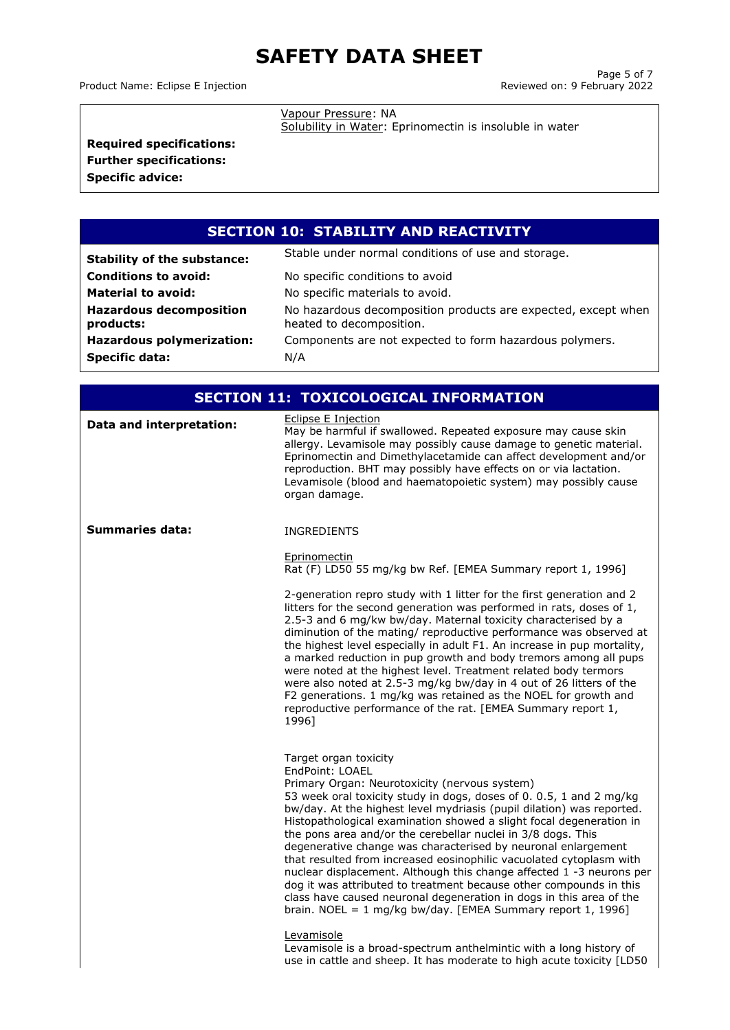Product Name: Eclipse E Injection

Vapour Pressure: NA

Solubility in Water: Eprinomectin is insoluble in water

**Required specifications: Further specifications:**

**Specific advice:**

## **SECTION 10: STABILITY AND REACTIVITY**

| <b>Stability of the substance:</b>          | Stable under normal conditions of use and storage.                                        |
|---------------------------------------------|-------------------------------------------------------------------------------------------|
| <b>Conditions to avoid:</b>                 | No specific conditions to avoid                                                           |
| <b>Material to avoid:</b>                   | No specific materials to avoid.                                                           |
| <b>Hazardous decomposition</b><br>products: | No hazardous decomposition products are expected, except when<br>heated to decomposition. |
| <b>Hazardous polymerization:</b>            | Components are not expected to form hazardous polymers.                                   |
| <b>Specific data:</b>                       | N/A                                                                                       |

| <b>SECTION 11: TOXICOLOGICAL INFORMATION</b> |                                                                                                                                                                                                                                                                                                                                                                                                                                                                                                                                                                                                                                                                                                                                                                                                                                                                                                            |  |
|----------------------------------------------|------------------------------------------------------------------------------------------------------------------------------------------------------------------------------------------------------------------------------------------------------------------------------------------------------------------------------------------------------------------------------------------------------------------------------------------------------------------------------------------------------------------------------------------------------------------------------------------------------------------------------------------------------------------------------------------------------------------------------------------------------------------------------------------------------------------------------------------------------------------------------------------------------------|--|
| Data and interpretation:                     | <b>Eclipse E Injection</b><br>May be harmful if swallowed. Repeated exposure may cause skin<br>allergy. Levamisole may possibly cause damage to genetic material.<br>Eprinomectin and Dimethylacetamide can affect development and/or<br>reproduction. BHT may possibly have effects on or via lactation.<br>Levamisole (blood and haematopoietic system) may possibly cause<br>organ damage.                                                                                                                                                                                                                                                                                                                                                                                                                                                                                                              |  |
| Summaries data:                              | <b>INGREDIENTS</b>                                                                                                                                                                                                                                                                                                                                                                                                                                                                                                                                                                                                                                                                                                                                                                                                                                                                                         |  |
|                                              | Eprinomectin<br>Rat (F) LD50 55 mg/kg bw Ref. [EMEA Summary report 1, 1996]                                                                                                                                                                                                                                                                                                                                                                                                                                                                                                                                                                                                                                                                                                                                                                                                                                |  |
|                                              | 2-generation repro study with 1 litter for the first generation and 2<br>litters for the second generation was performed in rats, doses of 1,<br>2.5-3 and 6 mg/kw bw/day. Maternal toxicity characterised by a<br>diminution of the mating/ reproductive performance was observed at<br>the highest level especially in adult F1. An increase in pup mortality,<br>a marked reduction in pup growth and body tremors among all pups<br>were noted at the highest level. Treatment related body termors<br>were also noted at 2.5-3 mg/kg bw/day in 4 out of 26 litters of the<br>F2 generations. 1 mg/kg was retained as the NOEL for growth and<br>reproductive performance of the rat. [EMEA Summary report 1,<br>1996]                                                                                                                                                                                 |  |
|                                              | Target organ toxicity<br>EndPoint: LOAEL<br>Primary Organ: Neurotoxicity (nervous system)<br>53 week oral toxicity study in dogs, doses of 0.0.5, 1 and 2 mg/kg<br>bw/day. At the highest level mydriasis (pupil dilation) was reported.<br>Histopathological examination showed a slight focal degeneration in<br>the pons area and/or the cerebellar nuclei in 3/8 dogs. This<br>degenerative change was characterised by neuronal enlargement<br>that resulted from increased eosinophilic vacuolated cytoplasm with<br>nuclear displacement. Although this change affected 1 -3 neurons per<br>dog it was attributed to treatment because other compounds in this<br>class have caused neuronal degeneration in dogs in this area of the<br>brain. NOEL = $1 \text{ mg/kg bw/day}$ . [EMEA Summary report 1, 1996]<br>Levamisole<br>Levamisole is a broad-spectrum anthelmintic with a long history of |  |
|                                              | use in cattle and sheep. It has moderate to high acute toxicity [LD50                                                                                                                                                                                                                                                                                                                                                                                                                                                                                                                                                                                                                                                                                                                                                                                                                                      |  |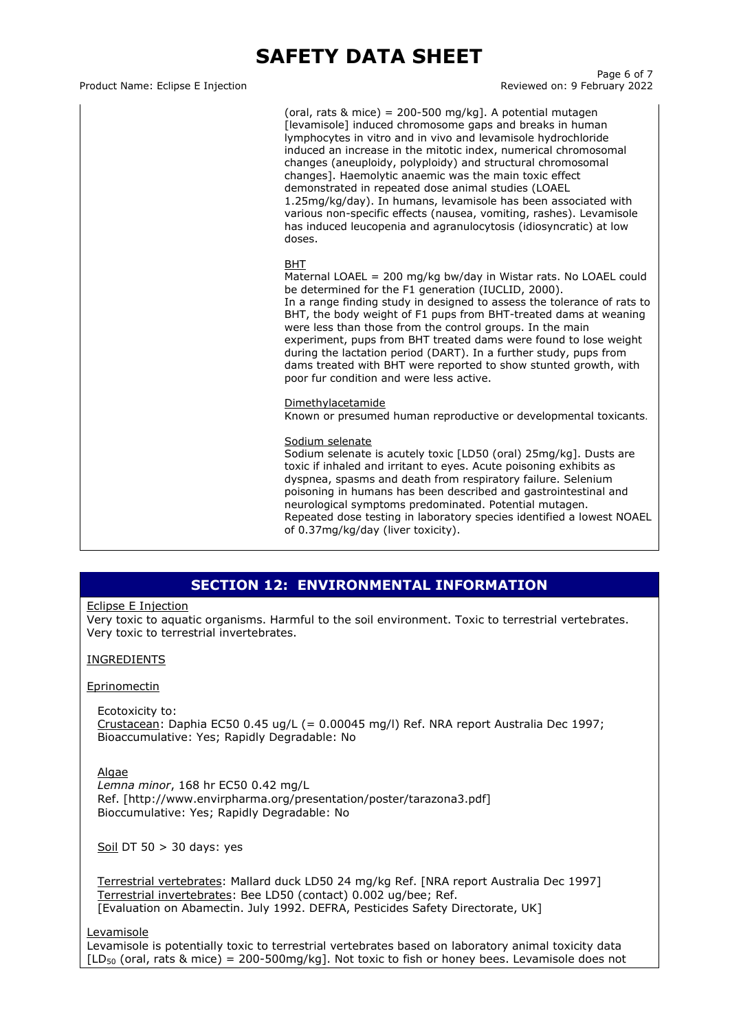#### Product Name: Eclipse E Injection **Reviewed on: 9 February 2022**

Page 6 of 7

(oral, rats  $\&$  mice) = 200-500 mg/kg]. A potential mutagen [levamisole] induced chromosome gaps and breaks in human lymphocytes in vitro and in vivo and levamisole hydrochloride induced an increase in the mitotic index, numerical chromosomal changes (aneuploidy, polyploidy) and structural chromosomal changes]. Haemolytic anaemic was the main toxic effect demonstrated in repeated dose animal studies (LOAEL 1.25mg/kg/day). In humans, levamisole has been associated with various non-specific effects (nausea, vomiting, rashes). Levamisole has induced leucopenia and agranulocytosis (idiosyncratic) at low doses.

### BHT

Maternal LOAEL = 200 mg/kg bw/day in Wistar rats. No LOAEL could be determined for the F1 generation (IUCLID, 2000). In a range finding study in designed to assess the tolerance of rats to BHT, the body weight of F1 pups from BHT-treated dams at weaning were less than those from the control groups. In the main experiment, pups from BHT treated dams were found to lose weight during the lactation period (DART). In a further study, pups from dams treated with BHT were reported to show stunted growth, with poor fur condition and were less active.

#### Dimethylacetamide

Known or presumed human reproductive or developmental toxicants.

#### Sodium selenate

Sodium selenate is acutely toxic [LD50 (oral) 25mg/kg]. Dusts are toxic if inhaled and irritant to eyes. Acute poisoning exhibits as dyspnea, spasms and death from respiratory failure. Selenium poisoning in humans has been described and gastrointestinal and neurological symptoms predominated. Potential mutagen. Repeated dose testing in laboratory species identified a lowest NOAEL of 0.37mg/kg/day (liver toxicity).

### **SECTION 12: ENVIRONMENTAL INFORMATION**

### Eclipse E Injection

Very toxic to aquatic organisms. Harmful to the soil environment. Toxic to terrestrial vertebrates. Very toxic to terrestrial invertebrates.

### **INGREDIENTS**

### Eprinomectin

Ecotoxicity to: Crustacean: Daphia EC50 0.45 ug/L (= 0.00045 mg/l) Ref. NRA report Australia Dec 1997; Bioaccumulative: Yes; Rapidly Degradable: No

### Algae

*Lemna minor*, 168 hr EC50 0.42 mg/L Ref. [http://www.envirpharma.org/presentation/poster/tarazona3.pdf] Bioccumulative: Yes; Rapidly Degradable: No

Soil DT 50  $>$  30 days: yes

Terrestrial vertebrates: Mallard duck LD50 24 mg/kg Ref. [NRA report Australia Dec 1997] Terrestrial invertebrates: Bee LD50 (contact) 0.002 ug/bee; Ref. [Evaluation on Abamectin. July 1992. DEFRA, Pesticides Safety Directorate, UK]

Levamisole

Levamisole is potentially toxic to terrestrial vertebrates based on laboratory animal toxicity data  $[LD_{50}$  (oral, rats & mice) = 200-500mg/kg]. Not toxic to fish or honey bees. Levamisole does not